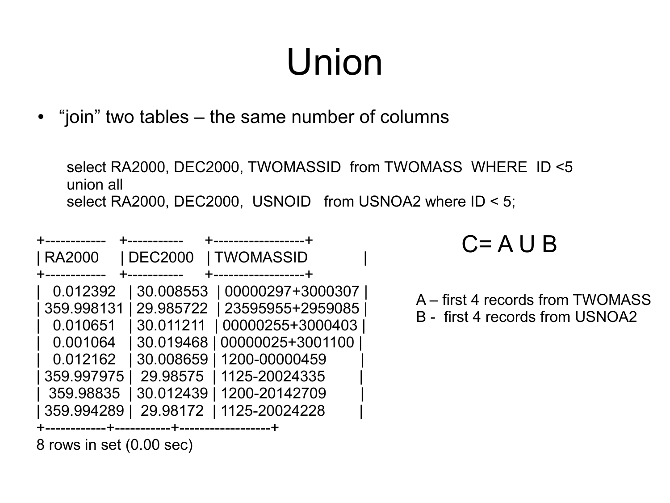# Union

• "join" two tables – the same number of columns

select RA2000, DEC2000, TWOMASSID from TWOMASS WHERE ID <5 union all select RA2000, DEC2000, USNOID from USNOA2 where ID < 5;

| <b>RA2000</b> | DEC2000                          | <b>I TWOMASSID</b> |  |
|---------------|----------------------------------|--------------------|--|
|               |                                  | -----------------  |  |
| 0.012392      | 30.008553                        | 00000297+3000307   |  |
| 359.998131    | 29.985722                        | 23595955+2959085   |  |
| 0.010651      | 30.011211                        | 00000255+3000403   |  |
| 0.001064      | 30.019468                        | 00000025+3001100   |  |
| 0.012162      | 30.008659                        | 1200-00000459      |  |
| 359.997975    | 29.98575                         | 1125-20024335      |  |
| 359.98835     | 30.012439                        | 1200-20142709      |  |
| 359.994289    | 29.98172                         | 1125-20024228      |  |
|               | __+___________+_________________ |                    |  |

8 rows in set (0.00 sec)

#### $C = A \cup B$

- A first 4 records from TWOMASS
- B first 4 records from USNOA2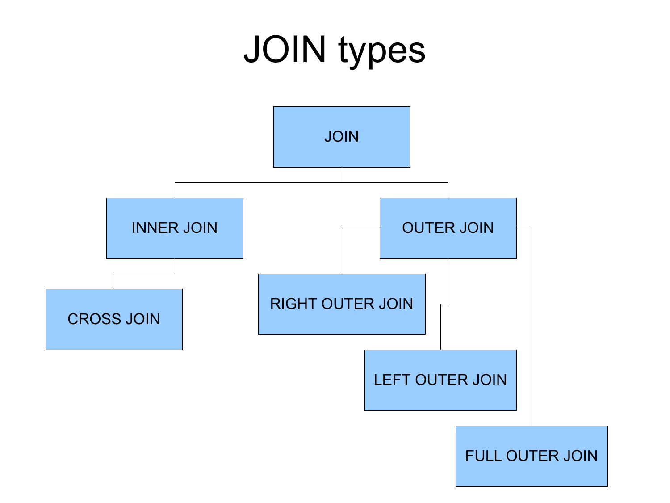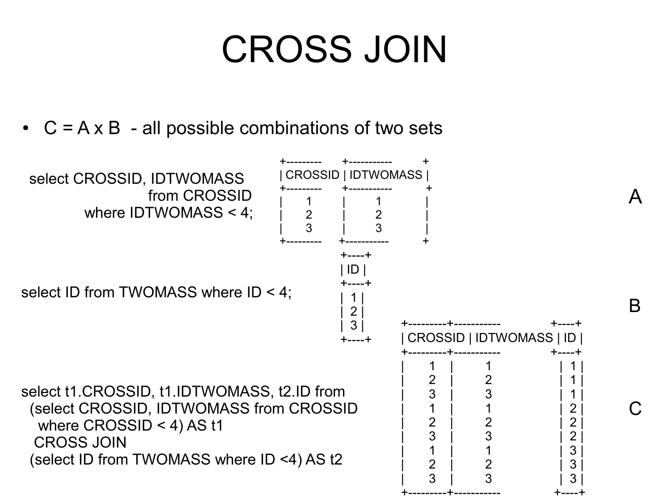#### CROSS JOIN

•  $C = A \times B$  - all possible combinations of two sets

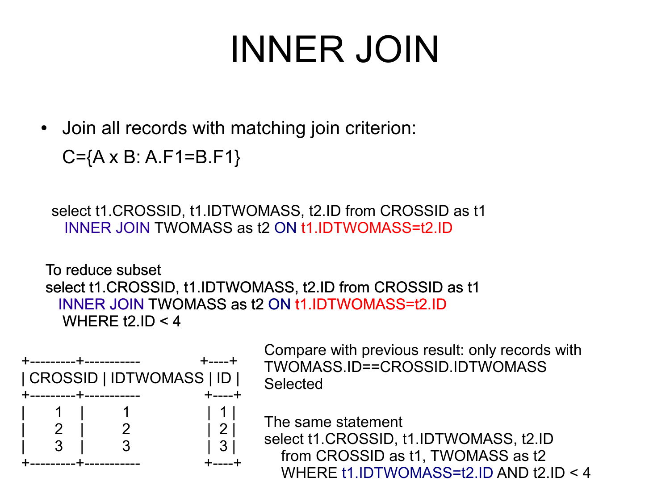#### INNER JOIN

• Join all records with matching join criterion:

```
C={A x B: A.F1=B.F1}
```
select t1.CROSSID, t1.IDTWOMASS, t2.ID from CROSSID as t1 INNER JOIN TWOMASS as t2 ON t1.IDTWOMASS=t2.ID

To reduce subset select t1.CROSSID, t1.IDTWOMASS, t2.ID from CROSSID as t1 INNER JOIN TWOMASS as t2 ON t1.IDTWOMASS=t2.ID WHERE  $12$ , ID  $<$  4



Compare with previous result: only records with TWOMASS.ID==CROSSID.IDTWOMASS **Selected** 

The same statement

select t1.CROSSID, t1.IDTWOMASS, t2.ID from CROSSID as t1, TWOMASS as t2 WHERE t1.IDTWOMASS=t2.ID AND t2.ID < 4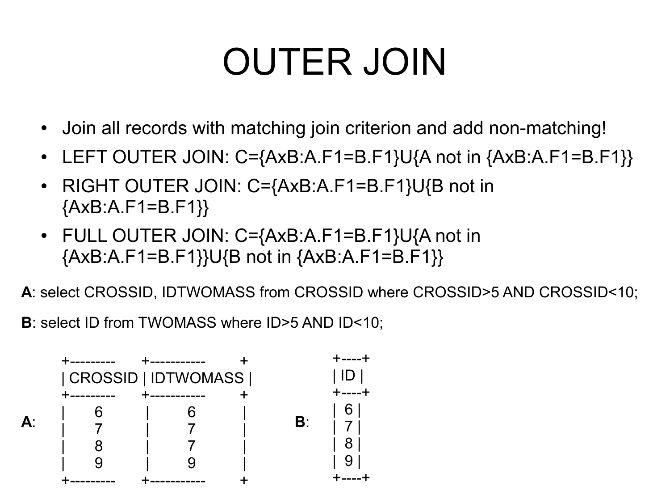# OUTER JOIN

- Join all records with matching join criterion and add non-matching!
- LEFT OUTER JOIN:  $C = \{AxB:A.F1=B.F1\} \cup \{A \text{ not in } \{AxB:A.F1=B.F1\} \}$
- RIGHT OUTER JOIN: C={AxB:A.F1=B.F1}U{B not in  ${AxB:A.F1=B.F1}$
- FULL OUTER JOIN: C={AxB:A.F1=B.F1}U{A not in  ${AxB:A.F1=B.F1}U{B not in {AxB:A.F1=B.F1}}$

**A**: select CROSSID, IDTWOMASS from CROSSID where CROSSID>5 AND CROSSID<10;

**B**: select ID from TWOMASS where ID>5 AND ID<10;

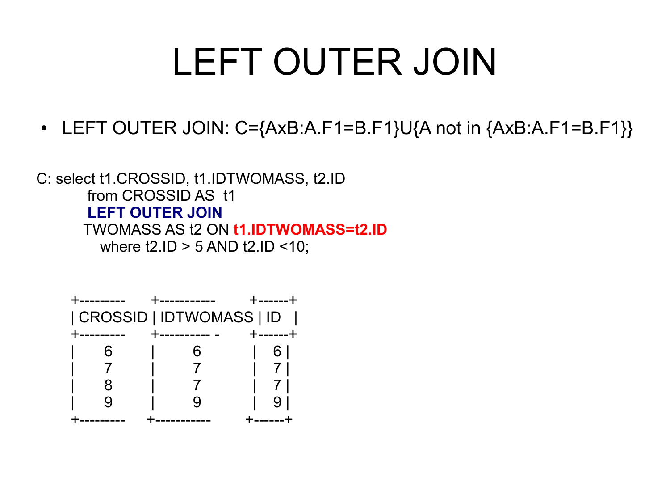### LEFT OUTER JOIN

• LEFT OUTER JOIN:  $C = \{AxB:A.F1=B.F1\} \cup \{A \text{ not in } \{AxB:A.F1=B.F1\}\}$ 

C: select t1.CROSSID, t1.IDTWOMASS, t2.ID from CROSSID AS t1 **LEFT OUTER JOIN** TWOMASS AS t2 ON **t1.IDTWOMASS=t2.ID** where  $t2.ID > 5 AND t2.ID < 10$ ;

| CROSSID   IDTWOMASS   ID |   |        |  |  |  |
|--------------------------|---|--------|--|--|--|
|                          |   | —————— |  |  |  |
|                          | h |        |  |  |  |
|                          |   |        |  |  |  |
|                          |   |        |  |  |  |
|                          |   |        |  |  |  |
|                          |   |        |  |  |  |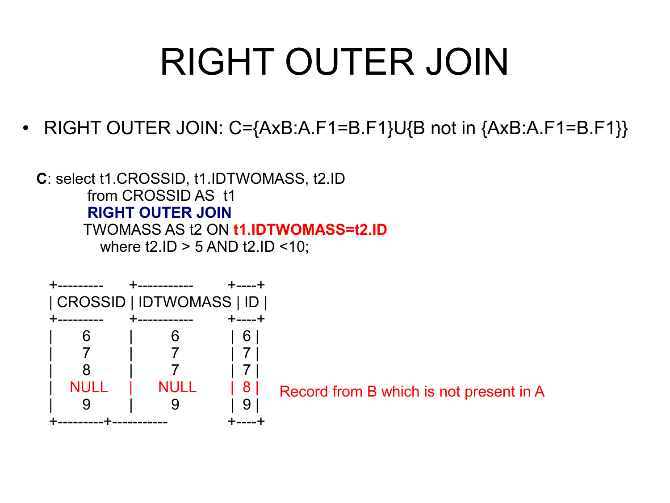# RIGHT OUTER JOIN

• RIGHT OUTER JOIN:  $C = \{AxB:A.F1=B.F1\} \cup \{B \text{ not in } \{AxB:A.F1=B.F1\} \}$ 

**C**: select t1.CROSSID, t1.IDTWOMASS, t2.ID from CROSSID AS t1 **RIGHT OUTER JOIN** TWOMASS AS t2 ON **t1.IDTWOMASS=t2.ID** where  $t2.ID > 5 AND t2.ID < 10$ ;



Record from B which is not present in A